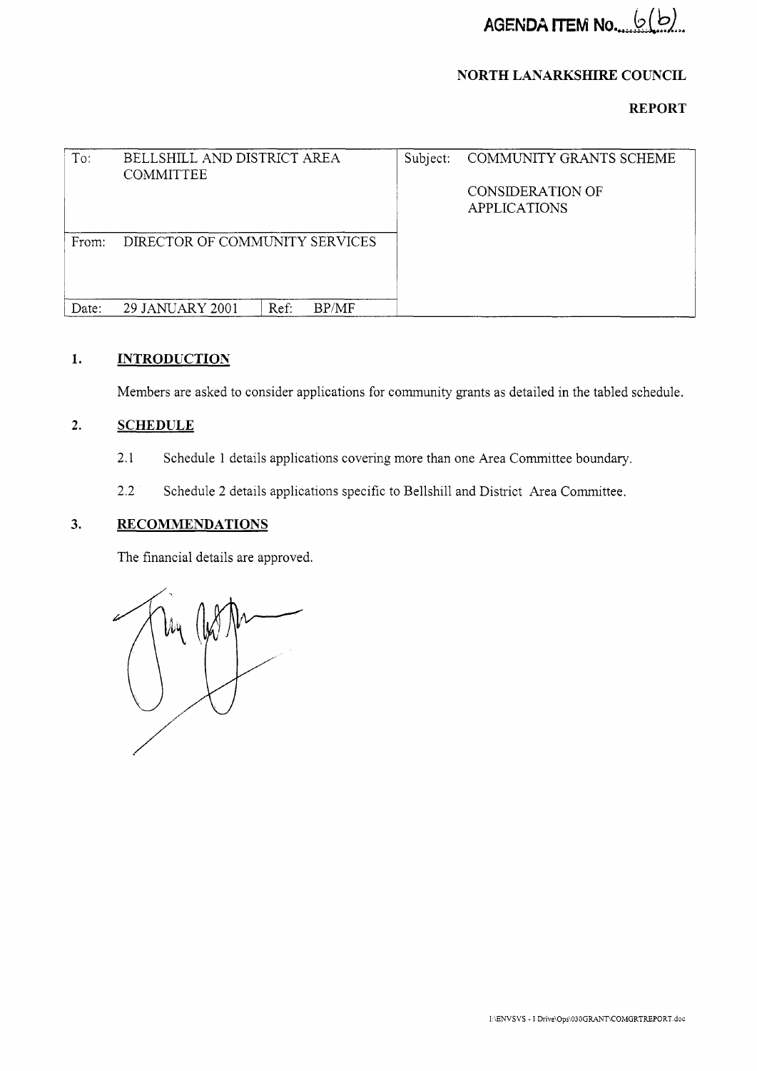### **NORTH LANARKSHIRE COUNCIL**

**REPORT** 

| To:   | BELLSHILL AND DISTRICT AREA<br><b>COMMITTEE</b> | Subject: | COMMUNITY GRANTS SCHEME<br><b>CONSIDERATION OF</b><br><b>APPLICATIONS</b> |
|-------|-------------------------------------------------|----------|---------------------------------------------------------------------------|
| From: | DIRECTOR OF COMMUNITY SERVICES                  |          |                                                                           |
| Date: | BP/MF<br>Ref:<br>29 JANUARY 2001                |          |                                                                           |

#### **1. INTRODUCTION**

Members are asked to consider applications for community grants as detailed in the tabled schedule.

#### **2. SCHEDULE**

- 2.1 Schedule 1 details applications covering more than one Area Committee boundary.
- 2.2 Schedule 2 details applications specific to Bellshill and District Area Committee.

#### **3. RECOMMENDATIONS**

The financial details are approved.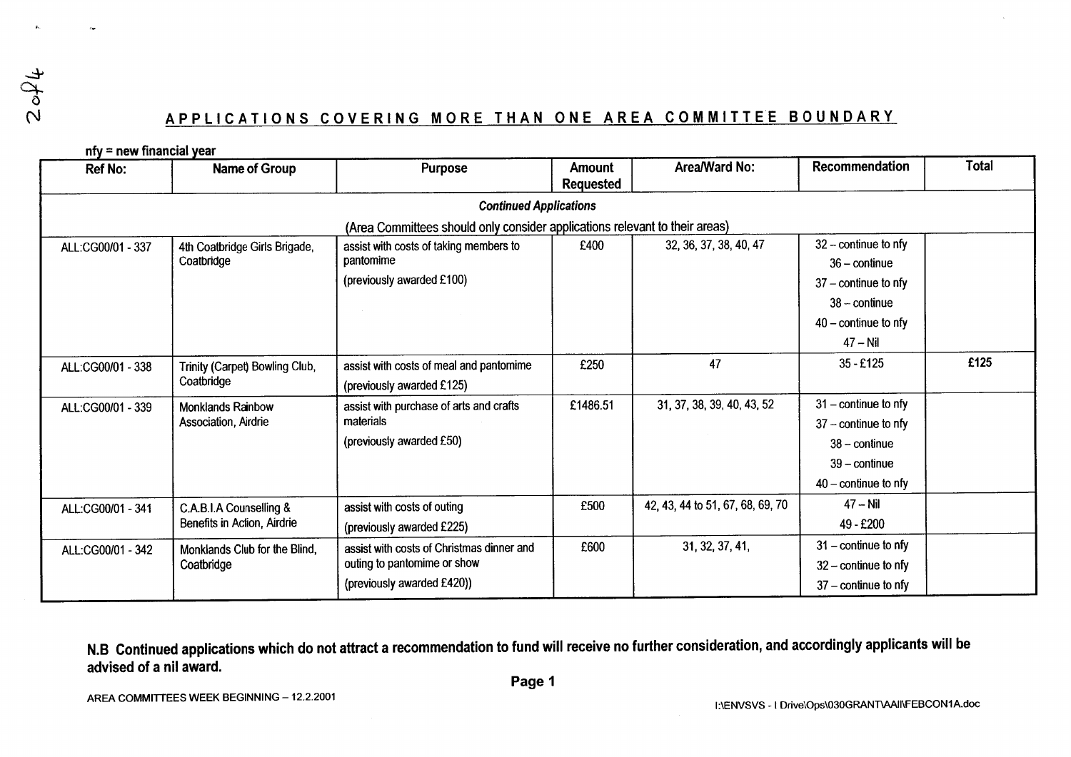# $2$  of 4

## APPLICATIONS COVERING MORE THAN ONE AREA COMMITTEE BOUNDARY

| <b>Ref No:</b>    | Name of Group                                          | Purpose                                                                                                | Amount<br><b>Requested</b> | Area/Ward No:                    | Recommendation                                                                                                          | Total |
|-------------------|--------------------------------------------------------|--------------------------------------------------------------------------------------------------------|----------------------------|----------------------------------|-------------------------------------------------------------------------------------------------------------------------|-------|
|                   |                                                        | <b>Continued Applications</b>                                                                          |                            |                                  |                                                                                                                         |       |
|                   |                                                        | (Area Committees should only consider applications relevant to their areas)                            |                            |                                  |                                                                                                                         |       |
| ALL:CG00/01 - 337 | 4th Coatbridge Girls Brigade,<br>Coatbridge            | assist with costs of taking members to<br>pantomime<br>(previously awarded £100)                       | £400                       | 32, 36, 37, 38, 40, 47           | $32$ – continue to nfy<br>$36 - \text{continue}$<br>$37 -$ continue to nfy<br>$38 -$ continue<br>$40$ – continue to nfy |       |
|                   |                                                        |                                                                                                        |                            |                                  | $47 - Nil$                                                                                                              |       |
| ALL:CG00/01 - 338 | Trinity (Carpet) Bowling Club,<br>Coatbridge           | assist with costs of meal and pantomime<br>(previously awarded £125)                                   | £250                       | 47                               | $35 - £125$                                                                                                             | £125  |
| ALL:CG00/01 - 339 | <b>Monklands Rainbow</b><br>Association, Airdrie       | assist with purchase of arts and crafts<br>materials<br>(previously awarded £50)                       | £1486.51                   | 31, 37, 38, 39, 40, 43, 52       | $31$ – continue to nfy<br>$37 -$ continue to nfy<br>$38 - \text{continue}$<br>$39$ – continue<br>$40$ – continue to nfy |       |
| ALL:CG00/01 - 341 | C.A.B.I.A Counselling &<br>Benefits in Action, Airdrie | assist with costs of outing<br>(previously awarded £225)                                               | £500                       | 42, 43, 44 to 51, 67, 68, 69, 70 | $47 - Nil$<br>49 - £200                                                                                                 |       |
| ALL:CG00/01 - 342 | Monklands Club for the Blind,<br>Coatbridge            | assist with costs of Christmas dinner and<br>outing to pantomime or show<br>(previously awarded £420)) | £600                       | 31, 32, 37, 41,                  | $31$ – continue to nfy<br>$32$ – continue to nfy<br>$37$ – continue to nfy                                              |       |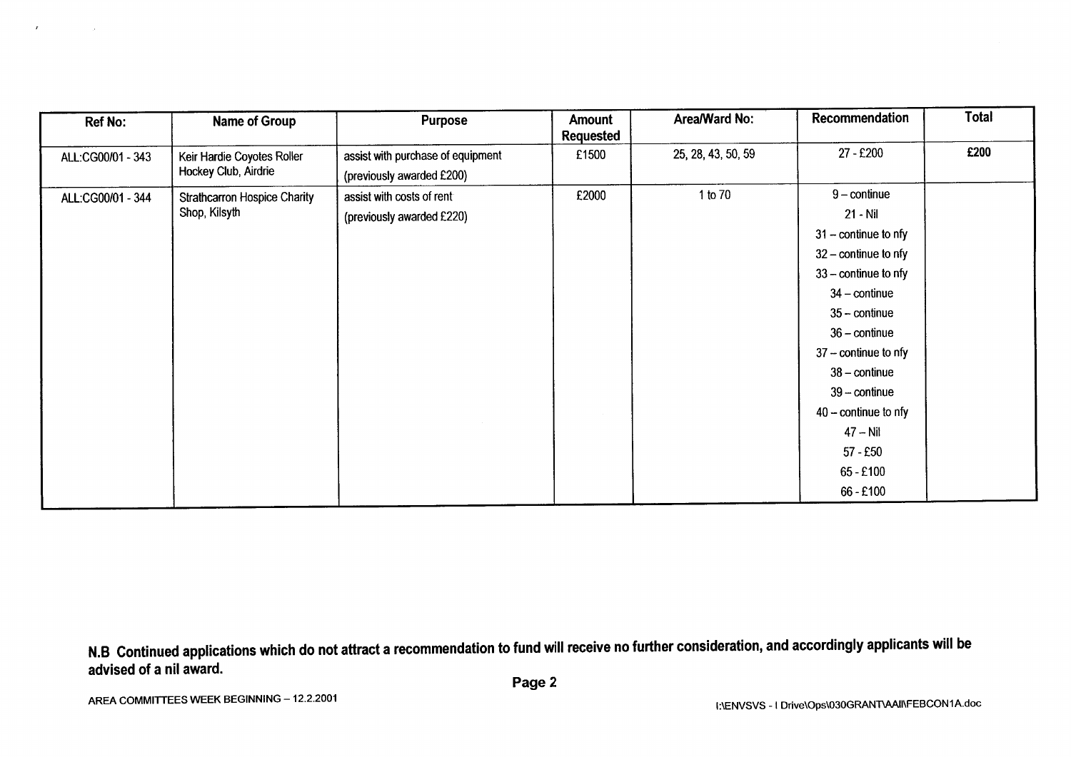| <b>Ref No:</b>    | <b>Name of Group</b>                | <b>Purpose</b>                    | Amount<br><b>Requested</b> | Area/Ward No:      | Recommendation                | Total |
|-------------------|-------------------------------------|-----------------------------------|----------------------------|--------------------|-------------------------------|-------|
| ALL:CG00/01 - 343 | Keir Hardie Coyotes Roller          | assist with purchase of equipment | £1500                      | 25, 28, 43, 50, 59 | 27 - £200                     | £200  |
|                   | Hockey Club, Airdrie                | (previously awarded £200)         |                            |                    |                               |       |
| ALL:CG00/01 - 344 | <b>Strathcarron Hospice Charity</b> | assist with costs of rent         | £2000                      | 1 to 70            | $9$ – continue                |       |
|                   | Shop, Kilsyth                       | (previously awarded £220)         |                            |                    | $21 - Nil$                    |       |
|                   |                                     |                                   |                            |                    | $31$ – continue to nfy        |       |
|                   |                                     |                                   |                            |                    | $32$ – continue to nfy        |       |
|                   |                                     |                                   |                            |                    | $33$ – continue to nfy        |       |
|                   |                                     |                                   |                            |                    | $34$ – continue               |       |
|                   |                                     |                                   |                            |                    | $35 - \text{continue}$        |       |
|                   |                                     |                                   |                            |                    | $36 - \text{continue}$        |       |
|                   |                                     |                                   |                            |                    | $37 -$ continue to nfy        |       |
|                   |                                     |                                   |                            |                    | $38 - \text{continue}$        |       |
|                   |                                     |                                   |                            |                    | $39 - \text{continue}$        |       |
|                   |                                     |                                   |                            |                    | $40 - \text{continue}$ to nfy |       |
|                   |                                     |                                   |                            |                    | $47 - Nil$                    |       |
|                   |                                     |                                   |                            |                    | $57 - £50$                    |       |
|                   |                                     |                                   |                            |                    | $65 - £100$                   |       |
|                   |                                     |                                   |                            |                    | 66 - £100                     |       |

 $\boldsymbol{r}$ 

 $\sim$   $\sim$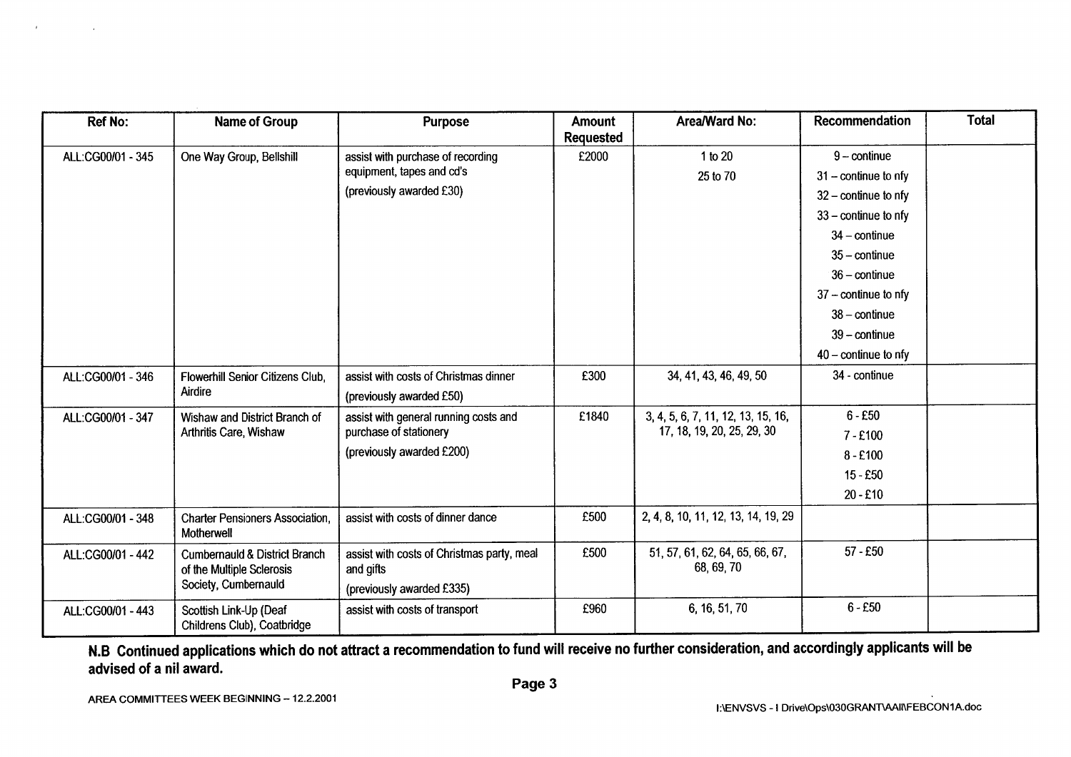| <b>Ref No:</b>    | <b>Name of Group</b>                                                  | <b>Purpose</b>                                          | <b>Amount</b>    | Area/Ward No:                                 | Recommendation         | <b>Total</b> |
|-------------------|-----------------------------------------------------------------------|---------------------------------------------------------|------------------|-----------------------------------------------|------------------------|--------------|
|                   |                                                                       |                                                         | <b>Requested</b> |                                               |                        |              |
| ALL:CG00/01 - 345 | One Way Group, Bellshill                                              | assist with purchase of recording                       | £2000            | 1 to 20                                       | $9$ – continue         |              |
|                   |                                                                       | equipment, tapes and cd's                               |                  | 25 to 70                                      | $31 -$ continue to nfy |              |
|                   |                                                                       | (previously awarded £30)                                |                  |                                               | $32$ – continue to nfy |              |
|                   |                                                                       |                                                         |                  |                                               | $33 -$ continue to nfy |              |
|                   |                                                                       |                                                         |                  |                                               | $34$ – continue        |              |
|                   |                                                                       |                                                         |                  |                                               | $35 -$ continue        |              |
|                   |                                                                       |                                                         |                  |                                               | $36 -$ continue        |              |
|                   |                                                                       |                                                         |                  |                                               | $37 -$ continue to nfy |              |
|                   |                                                                       |                                                         |                  |                                               | $38 -$ continue        |              |
|                   |                                                                       |                                                         |                  |                                               | $39$ – continue        |              |
|                   |                                                                       |                                                         |                  |                                               | $40 -$ continue to nfy |              |
| ALL:CG00/01 - 346 | <b>Flowerhill Senior Citizens Club.</b>                               | assist with costs of Christmas dinner                   | £300             | 34, 41, 43, 46, 49, 50                        | 34 - continue          |              |
|                   | Airdire                                                               | (previously awarded £50)                                |                  |                                               |                        |              |
| ALL:CG00/01 - 347 | Wishaw and District Branch of                                         | assist with general running costs and                   | £1840            | 3, 4, 5, 6, 7, 11, 12, 13, 15, 16,            | $6 - £50$              |              |
|                   | Arthritis Care, Wishaw                                                | purchase of stationery                                  |                  | 17, 18, 19, 20, 25, 29, 30                    | $7 - £100$             |              |
|                   |                                                                       | (previously awarded £200)                               |                  |                                               | $8 - £100$             |              |
|                   |                                                                       |                                                         |                  |                                               | $15 - £50$             |              |
|                   |                                                                       |                                                         |                  |                                               | $20 - £10$             |              |
| ALL:CG00/01 - 348 | <b>Charter Pensioners Association,</b><br>Motherwell                  | assist with costs of dinner dance                       | £500             | 2, 4, 8, 10, 11, 12, 13, 14, 19, 29           |                        |              |
| ALL:CG00/01 - 442 | <b>Cumbernauld &amp; District Branch</b><br>of the Multiple Sclerosis | assist with costs of Christmas party, meal<br>and gifts | £500             | 51, 57, 61, 62, 64, 65, 66, 67,<br>68, 69, 70 | $57 - £50$             |              |
|                   | Society, Cumbernauld                                                  | (previously awarded £335)                               |                  |                                               |                        |              |
| ALL:CG00/01 - 443 | Scottish Link-Up (Deaf<br>Childrens Club), Coatbridge                 | assist with costs of transport                          | £960             | 6, 16, 51, 70                                 | $6 - £50$              |              |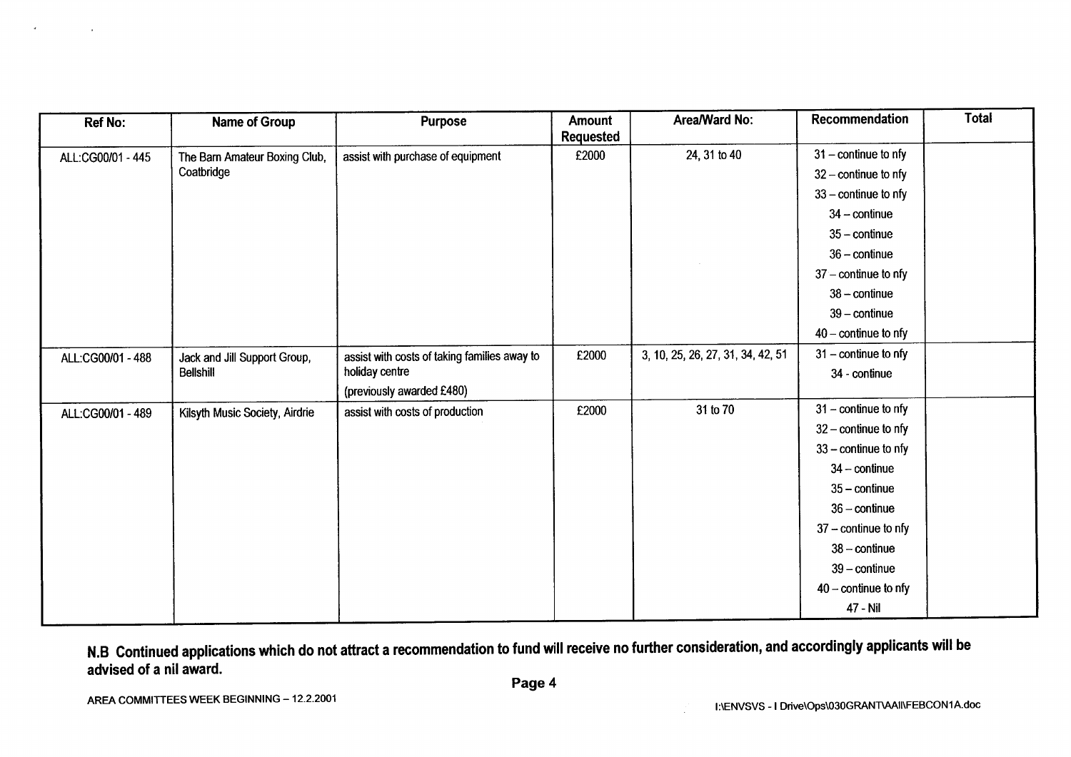| <b>Ref No:</b>    | Name of Group                  | <b>Purpose</b>                               | Amount<br>Requested | Area/Ward No:                     | <b>Recommendation</b>         | <b>Total</b> |
|-------------------|--------------------------------|----------------------------------------------|---------------------|-----------------------------------|-------------------------------|--------------|
| ALL:CG00/01 - 445 | The Barn Amateur Boxing Club,  | assist with purchase of equipment            | £2000               | 24, 31 to 40                      | $31$ – continue to nfy        |              |
|                   | Coatbridge                     |                                              |                     |                                   | $32 -$ continue to nfy        |              |
|                   |                                |                                              |                     |                                   | $33$ – continue to nfy        |              |
|                   |                                |                                              |                     |                                   | $34 -$ continue               |              |
|                   |                                |                                              |                     |                                   | $35 -$ continue               |              |
|                   |                                |                                              |                     |                                   | $36 - \text{continue}$        |              |
|                   |                                |                                              |                     |                                   | $37$ – continue to nfy        |              |
|                   |                                |                                              |                     |                                   | $38 -$ continue               |              |
|                   |                                |                                              |                     |                                   | $39$ – continue               |              |
|                   |                                |                                              |                     |                                   | $40 - \text{continue}$ to nfy |              |
| ALL:CG00/01 - 488 | Jack and Jill Support Group,   | assist with costs of taking families away to | £2000               | 3, 10, 25, 26, 27, 31, 34, 42, 51 | $31$ – continue to nfy        |              |
|                   | <b>Bellshill</b>               | holiday centre                               |                     |                                   | 34 - continue                 |              |
|                   |                                | (previously awarded £480)                    |                     |                                   |                               |              |
| ALL:CG00/01 - 489 | Kilsyth Music Society, Airdrie | assist with costs of production              | £2000               | 31 to 70                          | $31 -$ continue to nfy        |              |
|                   |                                |                                              |                     |                                   | $32$ – continue to nfy        |              |
|                   |                                |                                              |                     |                                   | 33 - continue to nfy          |              |
|                   |                                |                                              |                     |                                   | $34$ - continue               |              |
|                   |                                |                                              |                     |                                   | $35 - \text{continue}$        |              |
|                   |                                |                                              |                     |                                   | $36 -$ continue               |              |
|                   |                                |                                              |                     |                                   | $37 -$ continue to nfy        |              |
|                   |                                |                                              |                     |                                   | $38 - \text{continue}$        |              |
|                   |                                |                                              |                     |                                   | $39 - \text{continue}$        |              |
|                   |                                |                                              |                     |                                   | $40 -$ continue to nfy        |              |
|                   |                                |                                              |                     |                                   | 47 - Nil                      |              |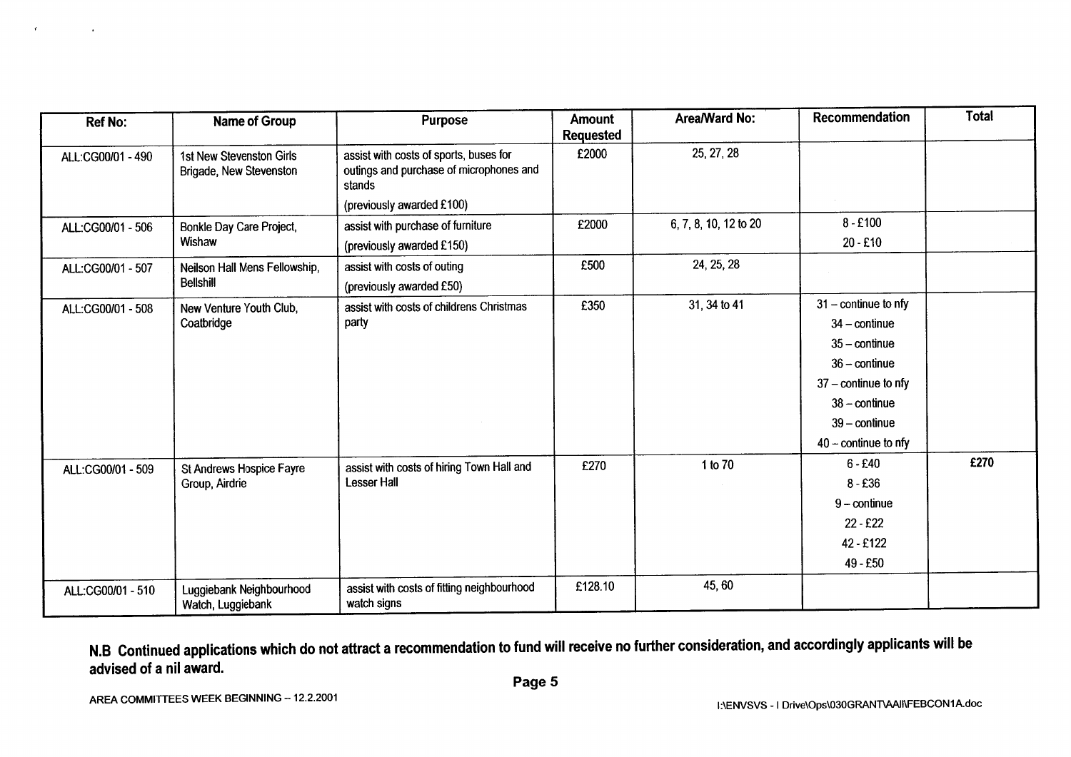| <b>Ref No:</b>    | Name of Group                                       | <b>Purpose</b>                                                                              | <b>Amount</b><br><b>Requested</b> | Area/Ward No:         | Recommendation                | <b>Total</b> |
|-------------------|-----------------------------------------------------|---------------------------------------------------------------------------------------------|-----------------------------------|-----------------------|-------------------------------|--------------|
| ALL:CG00/01 - 490 | 1st New Stevenston Girls<br>Brigade, New Stevenston | assist with costs of sports, buses for<br>outings and purchase of microphones and<br>stands | £2000                             | 25, 27, 28            |                               |              |
|                   |                                                     | (previously awarded £100)                                                                   |                                   |                       |                               |              |
| ALL:CG00/01 - 506 | Bonkle Day Care Project,                            | assist with purchase of furniture                                                           | £2000                             | 6, 7, 8, 10, 12 to 20 | $8 - £100$                    |              |
|                   | Wishaw                                              | (previously awarded £150)                                                                   |                                   |                       | $20 - £10$                    |              |
| ALL:CG00/01 - 507 | Neilson Hall Mens Fellowship,                       | assist with costs of outing                                                                 | £500                              | 24, 25, 28            |                               |              |
|                   | <b>Bellshill</b>                                    | (previously awarded £50)                                                                    |                                   |                       |                               |              |
| ALL:CG00/01 - 508 | New Venture Youth Club,                             | assist with costs of childrens Christmas<br>party                                           | £350                              | 31, 34 to 41          | $31$ – continue to nfy        |              |
|                   | Coatbridge                                          |                                                                                             |                                   |                       | $34$ – continue               |              |
|                   |                                                     |                                                                                             |                                   |                       | $35 -$ continue               |              |
|                   |                                                     |                                                                                             |                                   |                       | $36 - \text{continue}$        |              |
|                   |                                                     |                                                                                             |                                   |                       | $37$ – continue to nfy        |              |
|                   |                                                     |                                                                                             |                                   |                       | $38 - \text{continue}$        |              |
|                   |                                                     |                                                                                             |                                   |                       | $39 - \text{continue}$        |              |
|                   |                                                     |                                                                                             |                                   |                       | $40 - \text{continue}$ to nfy |              |
| ALL:CG00/01 - 509 | <b>St Andrews Hospice Fayre</b>                     | assist with costs of hiring Town Hall and                                                   | £270                              | 1 to 70               | $6 - £40$                     | £270         |
|                   | Group, Airdrie                                      | <b>Lesser Hall</b>                                                                          |                                   |                       | $8 - £36$                     |              |
|                   |                                                     |                                                                                             |                                   |                       | $9$ – continue                |              |
|                   |                                                     |                                                                                             |                                   |                       | $22 - £22$                    |              |
|                   |                                                     |                                                                                             |                                   |                       | 42 - £122                     |              |
|                   |                                                     |                                                                                             |                                   |                       | 49 - £50                      |              |
| ALL:CG00/01 - 510 | Luggiebank Neighbourhood<br>Watch, Luggiebank       | assist with costs of fitting neighbourhood<br>watch signs                                   | £128.10                           | 45, 60                |                               |              |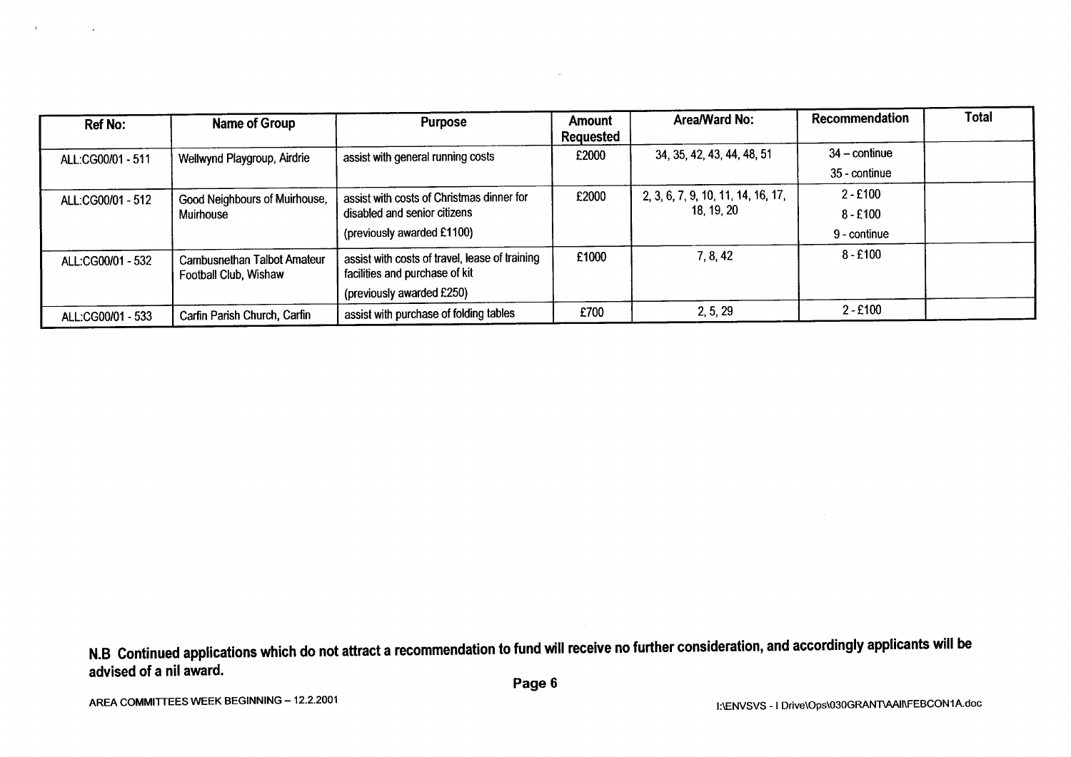| <b>Ref No:</b>    | Name of Group                                               | <b>Purpose</b>                                                                   | Amount<br>Requested | Area/Ward No:                      | Recommendation  | <b>Total</b> |
|-------------------|-------------------------------------------------------------|----------------------------------------------------------------------------------|---------------------|------------------------------------|-----------------|--------------|
| ALL:CG00/01 - 511 | Wellwynd Playgroup, Airdrie                                 | assist with general running costs                                                | £2000               | 34, 35, 42, 43, 44, 48, 51         | $34 -$ continue |              |
|                   |                                                             |                                                                                  |                     |                                    | 35 - continue   |              |
| ALL:CG00/01 - 512 | Good Neighbours of Muirhouse,                               | assist with costs of Christmas dinner for                                        | £2000               | 2, 3, 6, 7, 9, 10, 11, 14, 16, 17, | $2 - £100$      |              |
|                   | Muirhouse                                                   | disabled and senior citizens                                                     |                     | 18, 19, 20                         | $8 - £100$      |              |
|                   |                                                             | (previously awarded £1100)                                                       |                     |                                    | 9 - continue    |              |
| ALL:CG00/01 - 532 | <b>Cambusnethan Talbot Amateur</b><br>Football Club, Wishaw | assist with costs of travel, lease of training<br>facilities and purchase of kit | £1000               | 7, 8, 42                           | $8 - £100$      |              |
|                   |                                                             | (previously awarded £250)                                                        |                     |                                    |                 |              |
| ALL:CG00/01 - 533 | Carfin Parish Church, Carfin                                | assist with purchase of folding tables                                           | £700                | 2, 5, 29                           | $2 - £100$      |              |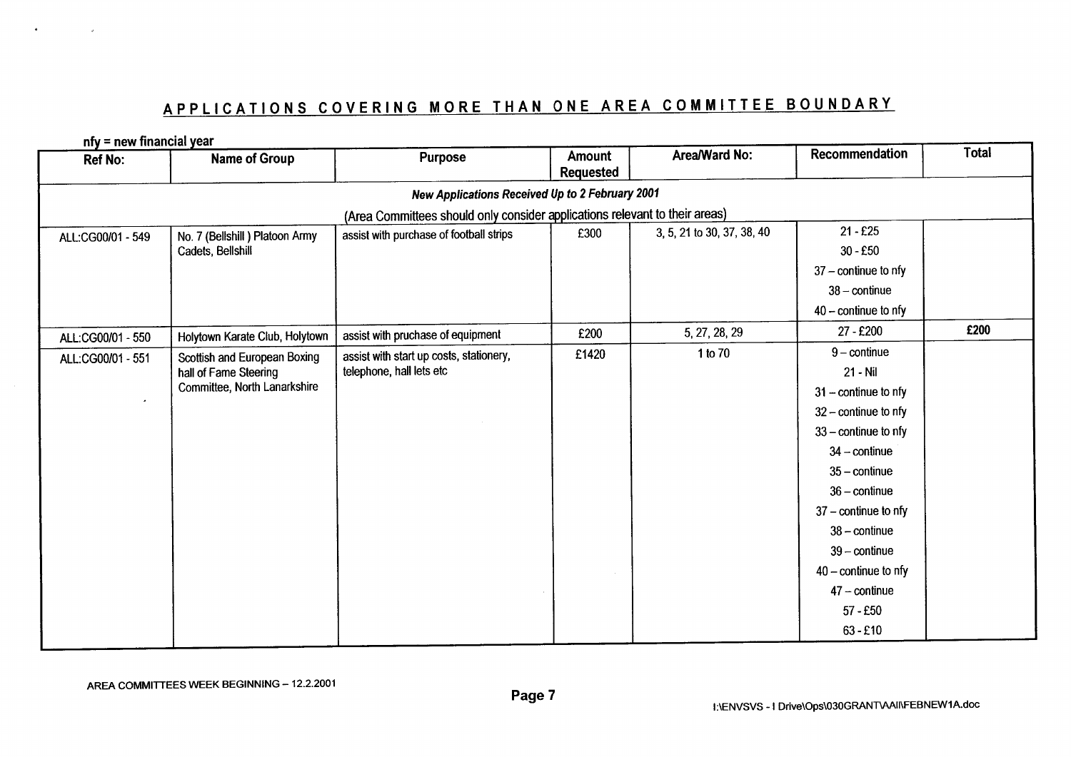# APPLICATIONS COVERING MORE THAN ONE AREA COMMITTEE BOUNDARY

 $nfa = nau$  financial voor

| <b>IIIY – IIEW IIIIailtiai year</b><br><b>Ref No:</b> | Name of Group                                         | <b>Purpose</b>                                                              | <b>Amount</b><br><b>Requested</b> | Area/Ward No:              | Recommendation                | <b>Total</b> |
|-------------------------------------------------------|-------------------------------------------------------|-----------------------------------------------------------------------------|-----------------------------------|----------------------------|-------------------------------|--------------|
|                                                       |                                                       | New Applications Received Up to 2 February 2001                             |                                   |                            |                               |              |
|                                                       |                                                       | (Area Committees should only consider applications relevant to their areas) |                                   |                            |                               |              |
| ALL:CG00/01 - 549                                     | No. 7 (Bellshill) Platoon Army                        | assist with purchase of football strips                                     | £300                              | 3, 5, 21 to 30, 37, 38, 40 | $21 - £25$                    |              |
|                                                       | Cadets, Bellshill                                     |                                                                             |                                   |                            | $30 - £50$                    |              |
|                                                       |                                                       |                                                                             |                                   |                            | $37$ – continue to nfy        |              |
|                                                       |                                                       |                                                                             |                                   |                            | $38 - \text{continue}$        |              |
|                                                       |                                                       |                                                                             |                                   |                            | $40 - \text{continue}$ to nfy |              |
| ALL:CG00/01 - 550                                     | Holytown Karate Club, Holytown                        | assist with pruchase of equipment                                           | £200                              | 5, 27, 28, 29              | 27 - £200                     | £200         |
| ALL:CG00/01 - 551                                     | Scottish and European Boxing                          | assist with start up costs, stationery,                                     | £1420                             | 1 to 70                    | $9$ – continue                |              |
|                                                       | hall of Fame Steering<br>Committee, North Lanarkshire | telephone, hall lets etc                                                    |                                   |                            | 21 - Nil                      |              |
| $\bullet$                                             |                                                       |                                                                             |                                   |                            | $31$ – continue to nfy        |              |
|                                                       |                                                       |                                                                             |                                   |                            | $32$ – continue to nfy        |              |
|                                                       |                                                       |                                                                             |                                   |                            | $33$ – continue to nfy        |              |
|                                                       |                                                       |                                                                             |                                   |                            | $34 - \text{continue}$        |              |
|                                                       |                                                       |                                                                             |                                   |                            | $35 - \text{continue}$        |              |
|                                                       |                                                       |                                                                             |                                   |                            | $36 - \text{continue}$        |              |
|                                                       |                                                       |                                                                             |                                   |                            | $37$ – continue to nfy        |              |
|                                                       |                                                       |                                                                             |                                   |                            | $38 - \text{continue}$        |              |
|                                                       |                                                       |                                                                             |                                   |                            | $39$ – continue               |              |
|                                                       |                                                       |                                                                             |                                   |                            | $40$ – continue to nfy        |              |
|                                                       |                                                       |                                                                             |                                   |                            | $47 - \text{continue}$        |              |
|                                                       |                                                       |                                                                             |                                   |                            | $57 - £50$                    |              |
|                                                       |                                                       |                                                                             |                                   |                            | $63 - £10$                    |              |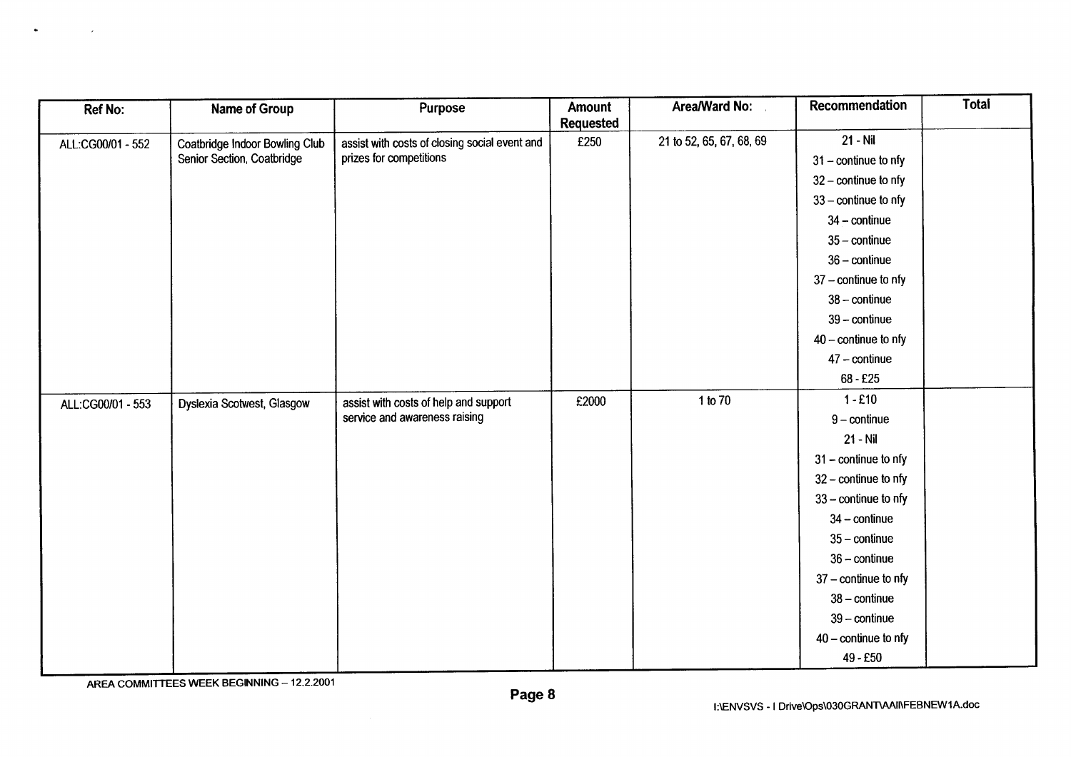| Ref No:           | Name of Group                  | <b>Purpose</b>                                                           | Amount           | Area/Ward No:            | <b>Recommendation</b>         | <b>Total</b> |
|-------------------|--------------------------------|--------------------------------------------------------------------------|------------------|--------------------------|-------------------------------|--------------|
|                   |                                |                                                                          | <b>Requested</b> |                          |                               |              |
| ALL:CG00/01 - 552 | Coatbridge Indoor Bowling Club | assist with costs of closing social event and<br>prizes for competitions | £250             | 21 to 52, 65, 67, 68, 69 | $21 - Nil$                    |              |
|                   | Senior Section, Coatbridge     |                                                                          |                  |                          | $31 - \text{continue}$ to nfy |              |
|                   |                                |                                                                          |                  |                          | $32$ – continue to nfy        |              |
|                   |                                |                                                                          |                  |                          | $33$ – continue to nfy        |              |
|                   |                                |                                                                          |                  |                          | $34$ – continue               |              |
|                   |                                |                                                                          |                  |                          | $35 - \text{continue}$        |              |
|                   |                                |                                                                          |                  |                          | $36 - \text{continue}$        |              |
|                   |                                |                                                                          |                  |                          | $37$ – continue to nfy        |              |
|                   |                                |                                                                          |                  |                          | $38 - \text{continue}$        |              |
|                   |                                |                                                                          |                  |                          | $39$ – continue               |              |
|                   |                                |                                                                          |                  |                          | $40$ – continue to nfy        |              |
|                   |                                |                                                                          |                  |                          | $47$ – continue               |              |
|                   |                                |                                                                          |                  |                          | $68 - £25$                    |              |
| ALL:CG00/01 - 553 | Dyslexia Scotwest, Glasgow     | assist with costs of help and support                                    | £2000            | 1 to 70                  | $1 - £10$                     |              |
|                   |                                | service and awareness raising                                            |                  |                          | $9$ – continue                |              |
|                   |                                |                                                                          |                  |                          | 21 - Nil                      |              |
|                   |                                |                                                                          |                  |                          | $31$ – continue to nfy        |              |
|                   |                                |                                                                          |                  |                          | $32$ – continue to nfy        |              |
|                   |                                |                                                                          |                  |                          | $33$ – continue to nfy        |              |
|                   |                                |                                                                          |                  |                          | $34 - \text{continue}$        |              |
|                   |                                |                                                                          |                  |                          | $35 - \text{continue}$        |              |
|                   |                                |                                                                          |                  |                          | $36 -$ continue               |              |
|                   |                                |                                                                          |                  |                          | $37$ – continue to nfy        |              |
|                   |                                |                                                                          |                  |                          | $38 - \text{continue}$        |              |
|                   |                                |                                                                          |                  |                          | $39$ – continue               |              |
|                   |                                |                                                                          |                  |                          | $40 - \text{continue}$ to nfy |              |
|                   |                                |                                                                          |                  |                          | 49 - £50                      |              |
|                   |                                |                                                                          |                  |                          |                               |              |

 $\bullet$ 

 $\sim$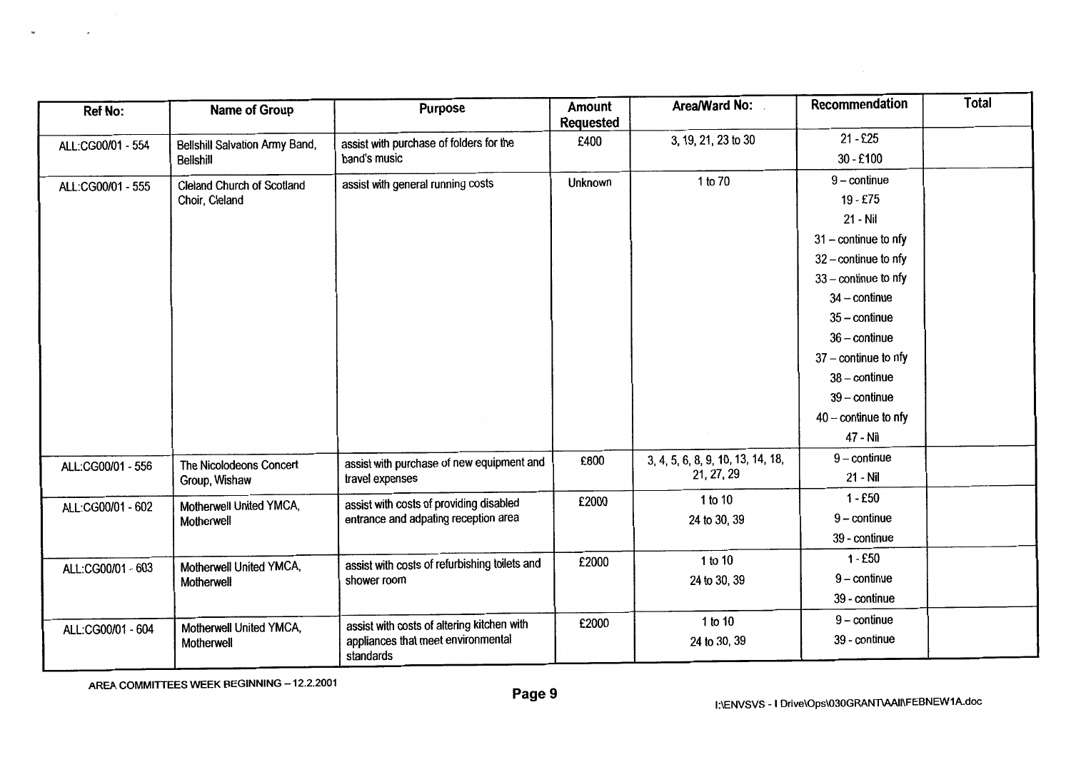| <b>Ref No:</b>    | <b>Name of Group</b>                  | <b>Purpose</b>                                  | Amount<br><b>Requested</b> | Area/Ward No:                     | Recommendation                | <b>Total</b> |
|-------------------|---------------------------------------|-------------------------------------------------|----------------------------|-----------------------------------|-------------------------------|--------------|
| ALL:CG00/01 - 554 | <b>Bellshill Salvation Army Band,</b> | assist with purchase of folders for the         | £400                       | 3, 19, 21, 23 to 30               | $21 - £25$                    |              |
|                   | <b>Bellshill</b>                      | band's music                                    |                            |                                   | $30 - £100$                   |              |
| ALL:CG00/01 - 555 | <b>Cleland Church of Scotland</b>     | assist with general running costs               | <b>Unknown</b>             | 1 to 70                           | $9$ – continue                |              |
|                   | Choir, Cleland                        |                                                 |                            |                                   | 19 - £75                      |              |
|                   |                                       |                                                 |                            |                                   | 21 - Nil                      |              |
|                   |                                       |                                                 |                            |                                   | $31$ – continue to nfy        |              |
|                   |                                       |                                                 |                            |                                   | $32$ – continue to nfy        |              |
|                   |                                       |                                                 |                            |                                   | $33$ – continue to nfy        |              |
|                   |                                       |                                                 |                            |                                   | $34$ - continue               |              |
|                   |                                       |                                                 |                            |                                   | $35 - \text{continue}$        |              |
|                   |                                       |                                                 |                            |                                   | $36$ – continue               |              |
|                   |                                       |                                                 |                            |                                   | $37$ – continue to nfy        |              |
|                   |                                       |                                                 |                            |                                   | $38 - \text{continue}$        |              |
|                   |                                       |                                                 |                            |                                   | $39$ – continue               |              |
|                   |                                       |                                                 |                            |                                   | $40 - \text{continue}$ to nfy |              |
|                   |                                       |                                                 |                            |                                   | 47 - Nil                      |              |
| ALL:CG00/01 - 556 | The Nicolodeons Concert               | assist with purchase of new equipment and       | £800                       | 3, 4, 5, 6, 8, 9, 10, 13, 14, 18, | $9$ – continue                |              |
|                   | Group, Wishaw                         | travel expenses                                 |                            | 21, 27, 29                        | 21 - Nil                      |              |
| ALL:CG00/01 - 602 | Motherwell United YMCA,               | assist with costs of providing disabled         | £2000                      | 1 to 10                           | $1 - £50$                     |              |
|                   | Motherwell                            | entrance and adpating reception area            |                            | 24 to 30, 39                      | $9$ – continue                |              |
|                   |                                       |                                                 |                            |                                   | 39 - continue                 |              |
| ALL:CG00/01 - 603 | Motherwell United YMCA,               | assist with costs of refurbishing toilets and   | £2000                      | 1 to 10                           | $1 - £50$                     |              |
|                   | Motherwell                            | shower room                                     |                            | 24 to 30, 39                      | $9$ – continue                |              |
|                   |                                       |                                                 |                            |                                   | 39 - continue                 |              |
|                   | Motherwell United YMCA,               | assist with costs of altering kitchen with      | £2000                      | 1 to 10                           | $9$ – continue                |              |
| ALL:CG00/01 - 604 | Motherwell                            | appliances that meet environmental<br>standards |                            | 24 to 30, 39                      | 39 - continue                 |              |

 $\overline{\phantom{a}}$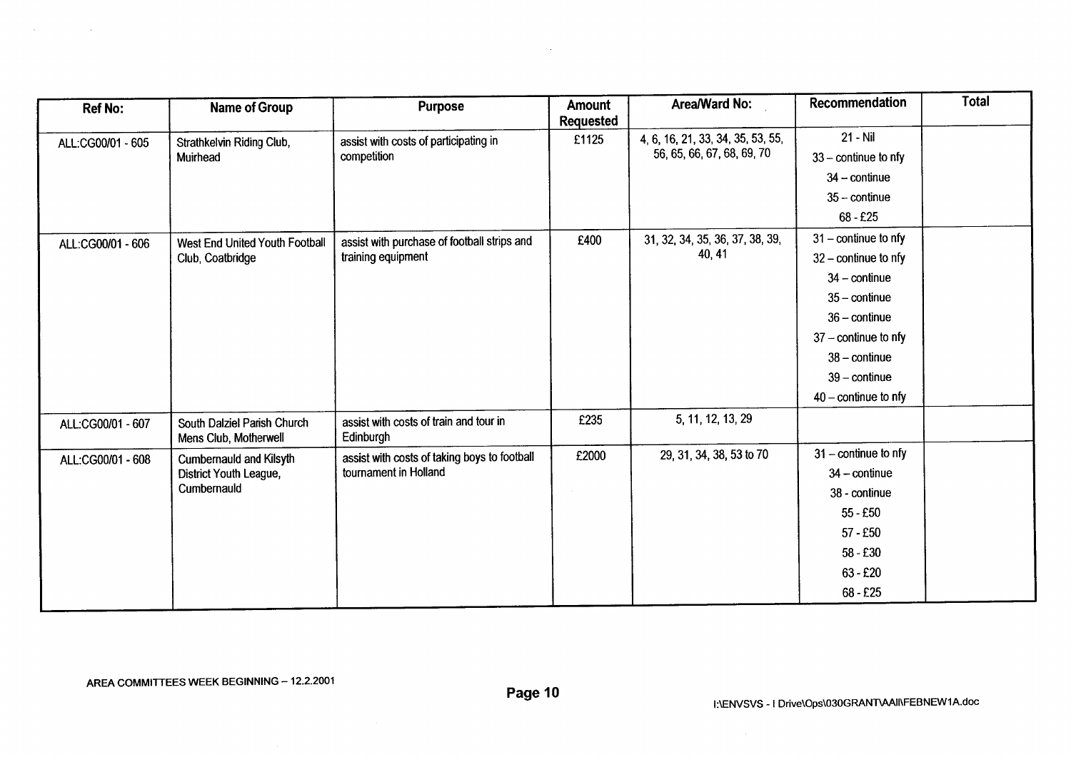| <b>Ref No:</b>    | Name of Group                                        | <b>Purpose</b>                                                    | <b>Amount</b><br><b>Requested</b> | Area/Ward No:                             | Recommendation         | <b>Total</b> |
|-------------------|------------------------------------------------------|-------------------------------------------------------------------|-----------------------------------|-------------------------------------------|------------------------|--------------|
|                   |                                                      |                                                                   | £1125                             | 4, 6, 16, 21, 33, 34, 35, 53, 55,         | 21 - Nil               |              |
| ALL:CG00/01 - 605 | Strathkelvin Riding Club,<br>Muirhead                | assist with costs of participating in<br>competition              |                                   | 56, 65, 66, 67, 68, 69, 70                | $33$ – continue to nfy |              |
|                   |                                                      |                                                                   |                                   |                                           | $34 - \text{continue}$ |              |
|                   |                                                      |                                                                   |                                   |                                           | $35 -$ continue        |              |
|                   |                                                      |                                                                   |                                   |                                           | $68 - £25$             |              |
|                   |                                                      |                                                                   |                                   |                                           | $31$ – continue to nfy |              |
| ALL:CG00/01 - 606 | West End United Youth Football                       | assist with purchase of football strips and<br>training equipment | £400                              | 31, 32, 34, 35, 36, 37, 38, 39,<br>40, 41 | $32$ – continue to nfy |              |
|                   | Club, Coatbridge                                     |                                                                   |                                   |                                           |                        |              |
|                   |                                                      |                                                                   |                                   |                                           | $34$ – continue        |              |
|                   |                                                      |                                                                   |                                   |                                           | $35 - \text{continue}$ |              |
|                   |                                                      |                                                                   |                                   |                                           | $36 -$ continue        |              |
|                   |                                                      |                                                                   |                                   |                                           | $37 -$ continue to nfy |              |
|                   |                                                      |                                                                   |                                   |                                           | $38 - \text{continue}$ |              |
|                   |                                                      |                                                                   |                                   |                                           | $39 - \text{continue}$ |              |
|                   |                                                      |                                                                   |                                   |                                           | $40 -$ continue to nfy |              |
| ALL:CG00/01 - 607 | South Dalziel Parish Church<br>Mens Club, Motherwell | assist with costs of train and tour in<br>Edinburgh               | £235                              | 5, 11, 12, 13, 29                         |                        |              |
| ALL:CG00/01 - 608 | Cumbernauld and Kilsyth                              | assist with costs of taking boys to football                      | £2000                             | 29, 31, 34, 38, 53 to 70                  | $31$ – continue to nfy |              |
|                   | District Youth League,                               | tournament in Holland                                             |                                   |                                           | $34$ - continue        |              |
|                   | Cumbernauld                                          |                                                                   |                                   |                                           | 38 - continue          |              |
|                   |                                                      |                                                                   |                                   |                                           | $55 - £50$             |              |
|                   |                                                      |                                                                   |                                   |                                           | $57 - £50$             |              |
|                   |                                                      |                                                                   |                                   |                                           | $58 - £30$             |              |
|                   |                                                      |                                                                   |                                   |                                           | $63 - £20$             |              |
|                   |                                                      |                                                                   |                                   |                                           | $68 - £25$             |              |

 $\sim$ 

 $\sim 100$ 

 $\sim 100$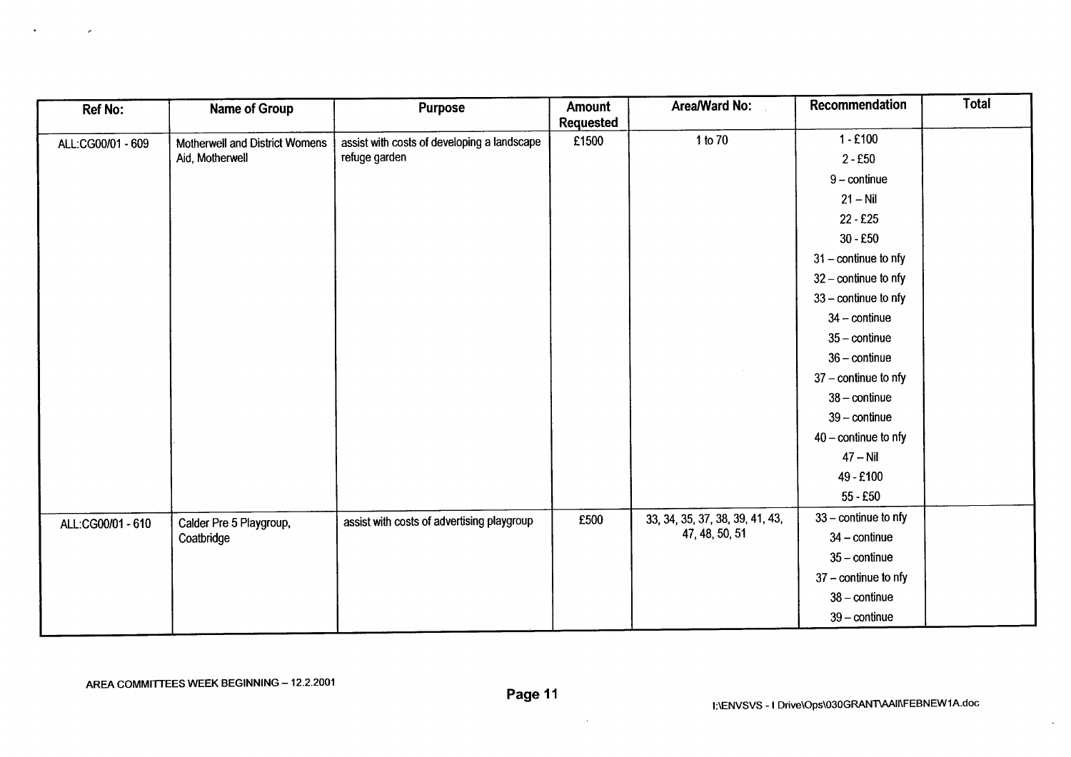| <b>Ref No:</b>    | Name of Group                  | <b>Purpose</b>                              | Amount<br><b>Requested</b> | Area/Ward No:                   | Recommendation         | <b>Total</b> |
|-------------------|--------------------------------|---------------------------------------------|----------------------------|---------------------------------|------------------------|--------------|
| ALL:CG00/01 - 609 | Motherwell and District Womens | assist with costs of developing a landscape | £1500                      | 1 to 70                         | $1 - £100$             |              |
|                   | Aid, Motherwell                | refuge garden                               |                            |                                 | $2 - £50$              |              |
|                   |                                |                                             |                            |                                 | $9$ – continue         |              |
|                   |                                |                                             |                            |                                 | $21 - Nil$             |              |
|                   |                                |                                             |                            |                                 | $22 - £25$             |              |
|                   |                                |                                             |                            |                                 | $30 - £50$             |              |
|                   |                                |                                             |                            |                                 | $31$ – continue to nfy |              |
|                   |                                |                                             |                            |                                 | $32$ – continue to nfy |              |
|                   |                                |                                             |                            |                                 | $33$ – continue to nfy |              |
|                   |                                |                                             |                            |                                 | $34 - \text{continue}$ |              |
|                   |                                |                                             |                            |                                 | $35 - \text{continue}$ |              |
|                   |                                |                                             |                            |                                 | $36 - \text{continue}$ |              |
|                   |                                |                                             |                            |                                 | $37$ – continue to nfy |              |
|                   |                                |                                             |                            |                                 | $38 - \text{continue}$ |              |
|                   |                                |                                             |                            |                                 | $39$ – continue        |              |
|                   |                                |                                             |                            |                                 | $40$ – continue to nfy |              |
|                   |                                |                                             |                            |                                 | $47 - Nil$             |              |
|                   |                                |                                             |                            |                                 | 49 - £100              |              |
|                   |                                |                                             |                            |                                 | $55 - £50$             |              |
| ALL:CG00/01 - 610 | Calder Pre 5 Playgroup,        | assist with costs of advertising playgroup  | £500                       | 33, 34, 35, 37, 38, 39, 41, 43, | $33$ – continue to nfy |              |
|                   | Coatbridge                     |                                             |                            | 47, 48, 50, 51                  | $34 - \text{continue}$ |              |
|                   |                                |                                             |                            |                                 | $35 - \text{continue}$ |              |
|                   |                                |                                             |                            |                                 | $37 -$ continue to nfy |              |
|                   |                                |                                             |                            |                                 | $38 - \text{continue}$ |              |
|                   |                                |                                             |                            |                                 | $39$ – continue        |              |

 $\mathcal{A}^{\pm}$ 

 $\sim 100$ 

 $\sim$ 

 $\mathcal{L}^{\pm}$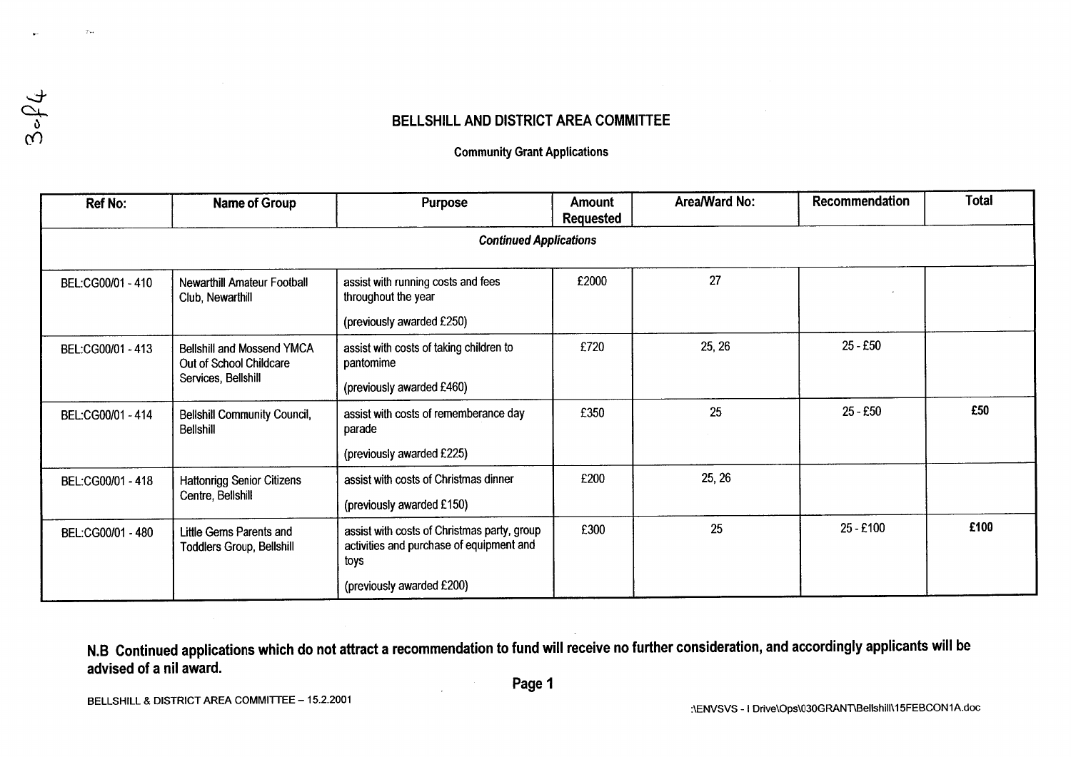## BELLSHILL AND DISTRICT AREA COMMITTEE

#### **Community Grant Applications**

| <b>Ref No:</b>    | <b>Name of Group</b>                                                                | <b>Purpose</b>                                                                                                               | <b>Amount</b><br>Requested | Area/Ward No: | <b>Recommendation</b> | <b>Total</b> |
|-------------------|-------------------------------------------------------------------------------------|------------------------------------------------------------------------------------------------------------------------------|----------------------------|---------------|-----------------------|--------------|
|                   |                                                                                     | <b>Continued Applications</b>                                                                                                |                            |               |                       |              |
| BEL:CG00/01 - 410 | Newarthill Amateur Football<br>Club, Newarthill                                     | assist with running costs and fees<br>throughout the year<br>(previously awarded £250)                                       | £2000                      | 27            |                       |              |
| BEL:CG00/01 - 413 | <b>Bellshill and Mossend YMCA</b><br>Out of School Childcare<br>Services, Bellshill | assist with costs of taking children to<br>pantomime<br>(previously awarded £460)                                            | £720                       | 25, 26        | $25 - £50$            |              |
| BEL:CG00/01 - 414 | <b>Bellshill Community Council,</b><br><b>Bellshill</b>                             | assist with costs of rememberance day<br>parade<br>(previously awarded £225)                                                 | £350                       | 25            | $25 - £50$            | £50          |
| BEL:CG00/01 - 418 | <b>Hattonrigg Senior Citizens</b><br>Centre, Bellshill                              | assist with costs of Christmas dinner<br>(previously awarded £150)                                                           | £200                       | 25, 26        |                       |              |
| BEL:CG00/01 - 480 | Little Gems Parents and<br><b>Toddlers Group, Bellshill</b>                         | assist with costs of Christmas party, group<br>activities and purchase of equipment and<br>toys<br>(previously awarded £200) | £300                       | 25            | 25 - £100             | £100         |

N.B Continued applications which do not attract a recommendation to fund will receive no further consideration, and accordingly applicants will be advised of a nil award.

 $\gamma_{\rm{in}}$ 

 $3 - \rho_+$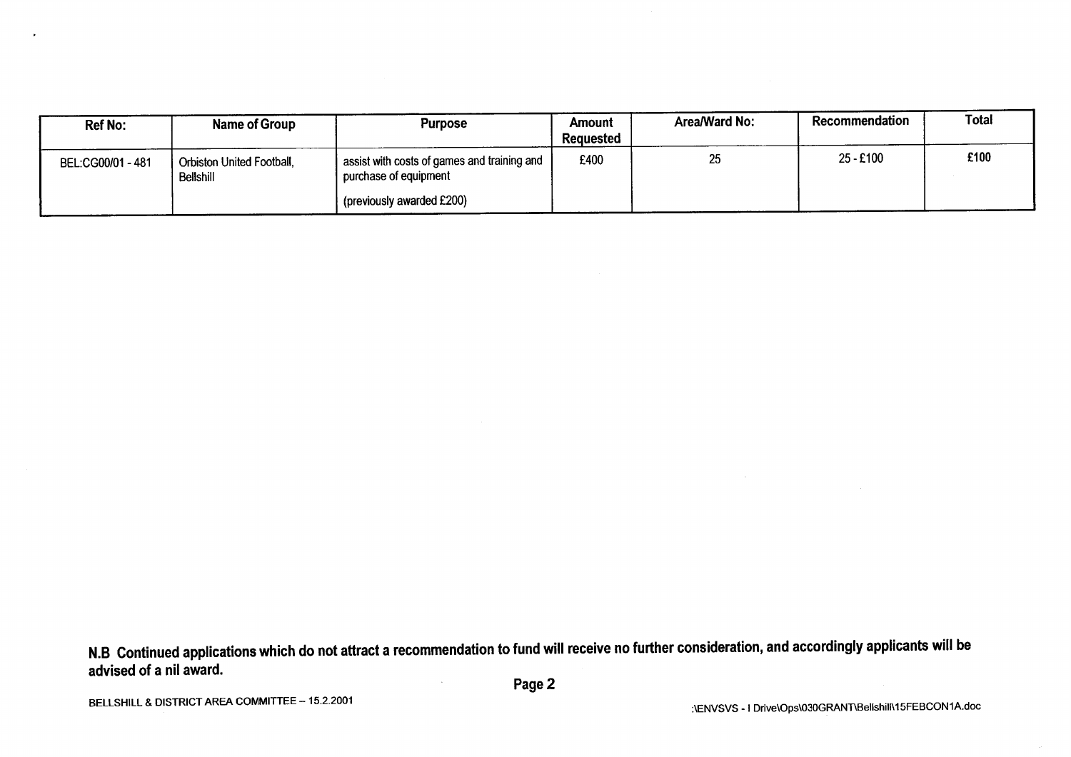| <b>Ref No:</b>    | Name of Group                          | <b>Purpose</b>                                                         | Amount<br>Requested | Area/Ward No: | Recommendation | Total |
|-------------------|----------------------------------------|------------------------------------------------------------------------|---------------------|---------------|----------------|-------|
| BEL:CG00/01 - 481 | Orbiston United Football,<br>Bellshill | I assist with costs of games and training and<br>purchase of equipment | £400                | 25            | 25 - £100      | £100  |
|                   |                                        | I (previously awarded £200)                                            |                     |               |                |       |

 $\cdot$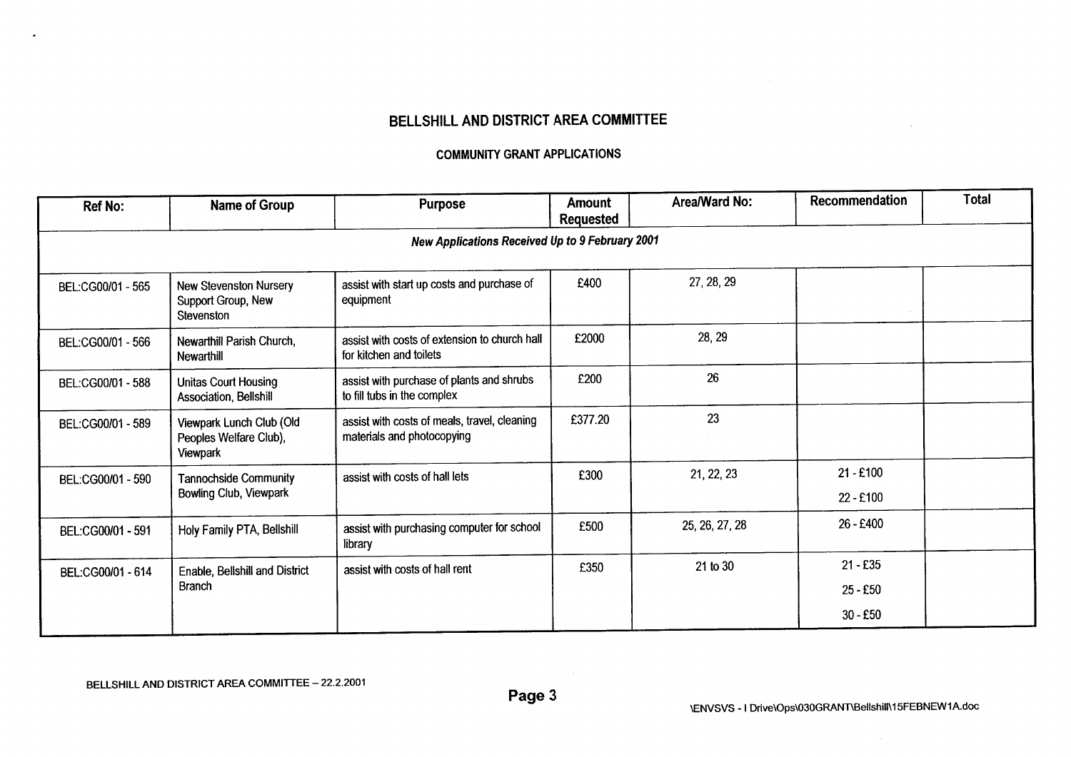## BELLSHILL AND DISTRICT AREA COMMITTEE

#### **COMMUNITY GRANT APPLICATIONS**

| <b>Ref No:</b>    | Name of Group                                                     | <b>Purpose</b>                                                             | <b>Amount</b><br>Requested | Area/Ward No:  | Recommendation           | <b>Total</b> |
|-------------------|-------------------------------------------------------------------|----------------------------------------------------------------------------|----------------------------|----------------|--------------------------|--------------|
|                   |                                                                   | New Applications Received Up to 9 February 2001                            |                            |                |                          |              |
| BEL:CG00/01 - 565 | <b>New Stevenston Nursery</b><br>Support Group, New<br>Stevenston | assist with start up costs and purchase of<br>equipment                    | £400                       | 27, 28, 29     |                          |              |
| BEL:CG00/01 - 566 | Newarthill Parish Church,<br><b>Newarthill</b>                    | assist with costs of extension to church hall<br>for kitchen and toilets   | £2000                      | 28, 29         |                          |              |
| BEL:CG00/01 - 588 | <b>Unitas Court Housing</b><br>Association, Bellshill             | assist with purchase of plants and shrubs<br>to fill tubs in the complex   | £200                       | 26             |                          |              |
| BEL:CG00/01 - 589 | Viewpark Lunch Club (Old<br>Peoples Welfare Club),<br>Viewpark    | assist with costs of meals, travel, cleaning<br>materials and photocopying | £377.20                    | 23             |                          |              |
| BEL:CG00/01 - 590 | <b>Tannochside Community</b><br>Bowling Club, Viewpark            | assist with costs of hall lets                                             | £300                       | 21, 22, 23     | $21 - £100$<br>22 - £100 |              |
| BEL:CG00/01 - 591 | Holy Family PTA, Bellshill                                        | assist with purchasing computer for school<br>library                      | £500                       | 25, 26, 27, 28 | 26 - £400                |              |
| BEL:CG00/01 - 614 | assist with costs of hall rent<br>Enable, Bellshill and District  |                                                                            | £350                       | 21 to 30       | $21 - £35$               |              |
|                   | <b>Branch</b>                                                     |                                                                            |                            |                | $25 - £50$               |              |
|                   |                                                                   |                                                                            |                            |                | $30 - £50$               |              |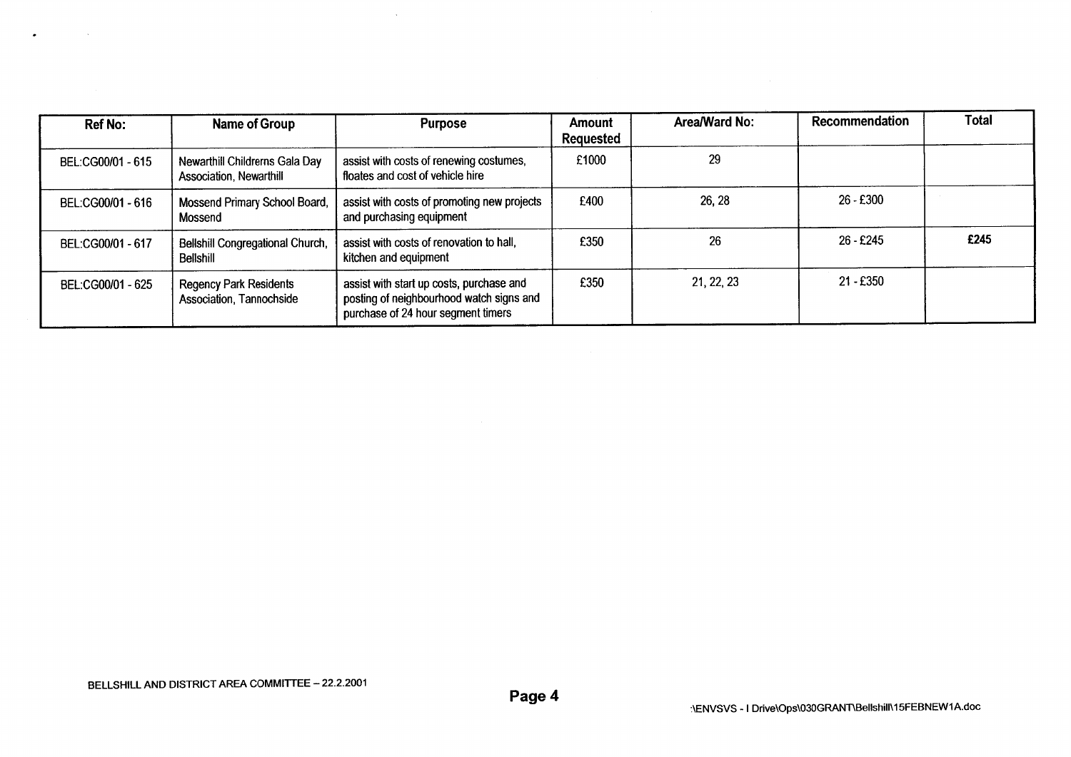| <b>Ref No:</b>    | Name of Group                                             | <b>Purpose</b>                                                                                                             | Amount<br><b>Requested</b> | Area/Ward No: | Recommendation | <b>Total</b> |
|-------------------|-----------------------------------------------------------|----------------------------------------------------------------------------------------------------------------------------|----------------------------|---------------|----------------|--------------|
| BEL:CG00/01 - 615 | Newarthill Childrerns Gala Day<br>Association, Newarthill | assist with costs of renewing costumes,<br>floates and cost of vehicle hire                                                | £1000                      | 29            |                |              |
| BEL:CG00/01 - 616 | Mossend Primary School Board,<br>Mossend                  | assist with costs of promoting new projects<br>and purchasing equipment                                                    | £400                       | 26, 28        | 26 - £300      |              |
| BEL:CG00/01 - 617 | Bellshill Congregational Church,<br>Bellshill             | assist with costs of renovation to hall,<br>kitchen and equipment                                                          | £350                       | 26            | $26 - £245$    | £245         |
| BEL:CG00/01 - 625 | <b>Regency Park Residents</b><br>Association, Tannochside | assist with start up costs, purchase and<br>posting of neighbourhood watch signs and<br>purchase of 24 hour segment timers | £350                       | 21, 22, 23    | 21 - £350      |              |

 $\sim 10^7$ 

 $\bullet$  . The second second  $\bullet$